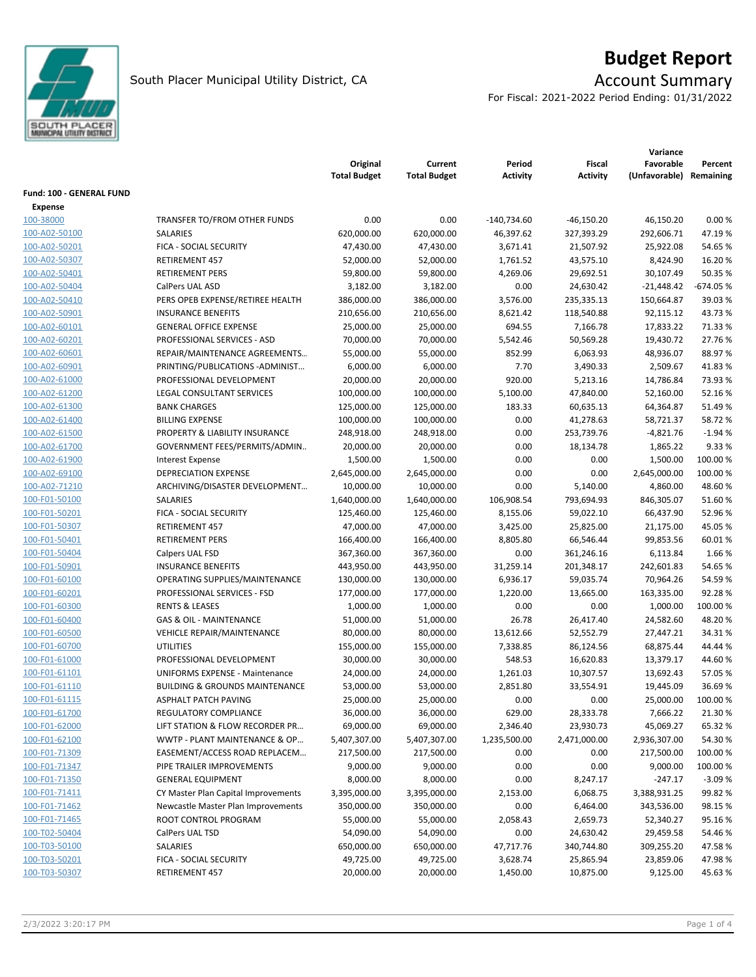

# **Budget Report**

For Fiscal: 2021-2022 Period Ending: 01/31/2022

|                          |                                           | Original<br><b>Total Budget</b> | Current<br><b>Total Budget</b> | Period<br>Activity | Fiscal<br><b>Activity</b> | Favorable<br>(Unfavorable) | Percent<br>Remaining |
|--------------------------|-------------------------------------------|---------------------------------|--------------------------------|--------------------|---------------------------|----------------------------|----------------------|
| Fund: 100 - GENERAL FUND |                                           |                                 |                                |                    |                           |                            |                      |
| Expense<br>100-38000     | TRANSFER TO/FROM OTHER FUNDS              | 0.00                            | 0.00                           | $-140,734.60$      | $-46,150.20$              | 46,150.20                  | 0.00%                |
| 100-A02-50100            | SALARIES                                  | 620,000.00                      | 620,000.00                     | 46,397.62          | 327,393.29                | 292,606.71                 | 47.19%               |
| 100-A02-50201            | FICA - SOCIAL SECURITY                    | 47,430.00                       | 47,430.00                      | 3,671.41           | 21,507.92                 | 25,922.08                  | 54.65%               |
| 100-A02-50307            | RETIREMENT 457                            | 52,000.00                       | 52,000.00                      | 1,761.52           | 43,575.10                 | 8,424.90                   | 16.20%               |
| 100-A02-50401            | <b>RETIREMENT PERS</b>                    | 59,800.00                       | 59,800.00                      | 4,269.06           | 29,692.51                 | 30,107.49                  | 50.35 %              |
| 100-A02-50404            | CalPers UAL ASD                           | 3,182.00                        | 3,182.00                       | 0.00               | 24,630.42                 | $-21,448.42$               | $-674.05%$           |
| 100-A02-50410            | PERS OPEB EXPENSE/RETIREE HEALTH          | 386,000.00                      | 386,000.00                     | 3,576.00           | 235,335.13                | 150,664.87                 | 39.03%               |
| 100-A02-50901            | <b>INSURANCE BENEFITS</b>                 | 210,656.00                      | 210,656.00                     | 8,621.42           | 118,540.88                | 92,115.12                  | 43.73%               |
| 100-A02-60101            | <b>GENERAL OFFICE EXPENSE</b>             | 25,000.00                       | 25,000.00                      | 694.55             | 7,166.78                  | 17,833.22                  | 71.33 %              |
| 100-A02-60201            | PROFESSIONAL SERVICES - ASD               | 70,000.00                       | 70,000.00                      | 5,542.46           | 50,569.28                 | 19,430.72                  | 27.76%               |
| 100-A02-60601            | REPAIR/MAINTENANCE AGREEMENTS             | 55,000.00                       | 55,000.00                      | 852.99             | 6,063.93                  | 48,936.07                  | 88.97%               |
| 100-A02-60901            | PRINTING/PUBLICATIONS-ADMINIST            | 6,000.00                        | 6,000.00                       | 7.70               | 3,490.33                  | 2,509.67                   | 41.83%               |
| 100-A02-61000            | PROFESSIONAL DEVELOPMENT                  | 20,000.00                       | 20,000.00                      | 920.00             | 5,213.16                  | 14,786.84                  | 73.93%               |
| 100-A02-61200            | LEGAL CONSULTANT SERVICES                 | 100,000.00                      | 100,000.00                     | 5,100.00           | 47,840.00                 | 52,160.00                  | 52.16%               |
| 100-A02-61300            | <b>BANK CHARGES</b>                       | 125,000.00                      | 125,000.00                     | 183.33             | 60,635.13                 | 64,364.87                  | 51.49%               |
| 100-A02-61400            | <b>BILLING EXPENSE</b>                    | 100,000.00                      | 100,000.00                     | 0.00               | 41,278.63                 | 58,721.37                  | 58.72 %              |
| 100-A02-61500            | PROPERTY & LIABILITY INSURANCE            | 248,918.00                      | 248,918.00                     | 0.00               | 253,739.76                | $-4,821.76$                | $-1.94%$             |
| 100-A02-61700            | GOVERNMENT FEES/PERMITS/ADMIN             | 20,000.00                       | 20,000.00                      | 0.00               | 18,134.78                 | 1,865.22                   | 9.33 %               |
| 100-A02-61900            | <b>Interest Expense</b>                   | 1,500.00                        | 1,500.00                       | 0.00               | 0.00                      | 1,500.00                   | 100.00%              |
| 100-A02-69100            | <b>DEPRECIATION EXPENSE</b>               | 2,645,000.00                    | 2,645,000.00                   | 0.00               | 0.00                      | 2,645,000.00               | 100.00%              |
| 100-A02-71210            | ARCHIVING/DISASTER DEVELOPMENT            | 10,000.00                       | 10,000.00                      | 0.00               | 5,140.00                  | 4,860.00                   | 48.60%               |
| 100-F01-50100            | SALARIES                                  | 1,640,000.00                    | 1,640,000.00                   | 106,908.54         | 793,694.93                | 846,305.07                 | 51.60%               |
| 100-F01-50201            | FICA - SOCIAL SECURITY                    | 125,460.00                      | 125,460.00                     | 8,155.06           | 59,022.10                 | 66,437.90                  | 52.96%               |
| 100-F01-50307            | RETIREMENT 457                            | 47,000.00                       | 47,000.00                      | 3,425.00           | 25,825.00                 | 21,175.00                  | 45.05%               |
| 100-F01-50401            | <b>RETIREMENT PERS</b>                    | 166,400.00                      | 166,400.00                     | 8,805.80           | 66,546.44                 | 99,853.56                  | 60.01%               |
| 100-F01-50404            | Calpers UAL FSD                           | 367,360.00                      | 367,360.00                     | 0.00               | 361,246.16                | 6,113.84                   | 1.66%                |
| 100-F01-50901            | <b>INSURANCE BENEFITS</b>                 | 443,950.00                      | 443,950.00                     | 31,259.14          | 201,348.17                | 242,601.83                 | 54.65%               |
| 100-F01-60100            | OPERATING SUPPLIES/MAINTENANCE            | 130,000.00                      | 130,000.00                     | 6,936.17           | 59,035.74                 | 70,964.26                  | 54.59%               |
| 100-F01-60201            | PROFESSIONAL SERVICES - FSD               | 177,000.00                      | 177,000.00                     | 1,220.00           | 13,665.00                 | 163,335.00                 | 92.28%               |
| 100-F01-60300            | <b>RENTS &amp; LEASES</b>                 | 1,000.00                        | 1,000.00                       | 0.00               | 0.00                      | 1,000.00                   | 100.00%              |
| 100-F01-60400            | <b>GAS &amp; OIL - MAINTENANCE</b>        | 51,000.00                       | 51,000.00                      | 26.78              | 26,417.40                 | 24,582.60                  | 48.20%               |
| 100-F01-60500            | <b>VEHICLE REPAIR/MAINTENANCE</b>         | 80,000.00                       | 80,000.00                      | 13,612.66          | 52,552.79                 | 27,447.21                  | 34.31%               |
| 100-F01-60700            | <b>UTILITIES</b>                          | 155,000.00                      | 155,000.00                     | 7,338.85           | 86,124.56                 | 68,875.44                  | 44.44 %              |
| 100-F01-61000            | PROFESSIONAL DEVELOPMENT                  | 30,000.00                       | 30,000.00                      | 548.53             | 16,620.83                 | 13,379.17                  | 44.60%               |
| 100-F01-61101            | <b>UNIFORMS EXPENSE - Maintenance</b>     | 24,000.00                       | 24,000.00                      | 1,261.03           | 10,307.57                 | 13,692.43                  | 57.05%               |
| 100-F01-61110            | <b>BUILDING &amp; GROUNDS MAINTENANCE</b> | 53,000.00                       | 53,000.00                      | 2,851.80           | 33,554.91                 | 19,445.09                  | 36.69%               |
| 100-F01-61115            | <b>ASPHALT PATCH PAVING</b>               | 25,000.00                       | 25,000.00                      | 0.00               | 0.00                      | 25,000.00                  | 100.00 %             |
| 100-F01-61700            | REGULATORY COMPLIANCE                     | 36,000.00                       | 36,000.00                      | 629.00             | 28,333.78                 | 7,666.22                   | 21.30%               |
| 100-F01-62000            | LIFT STATION & FLOW RECORDER PR           | 69,000.00                       | 69,000.00                      | 2,346.40           | 23,930.73                 | 45,069.27                  | 65.32%               |
| 100-F01-62100            | WWTP - PLANT MAINTENANCE & OP             | 5,407,307.00                    | 5,407,307.00                   | 1,235,500.00       | 2,471,000.00              | 2,936,307.00               | 54.30%               |
| 100-F01-71309            | EASEMENT/ACCESS ROAD REPLACEM             | 217,500.00                      | 217,500.00                     | 0.00               | 0.00                      | 217,500.00                 | 100.00%              |
| 100-F01-71347            | PIPE TRAILER IMPROVEMENTS                 | 9,000.00                        | 9,000.00                       | 0.00               | 0.00                      | 9,000.00                   | 100.00 %             |
| 100-F01-71350            | <b>GENERAL EQUIPMENT</b>                  | 8,000.00                        | 8,000.00                       | 0.00               | 8,247.17                  | $-247.17$                  | $-3.09%$             |
| 100-F01-71411            | CY Master Plan Capital Improvements       | 3,395,000.00                    | 3,395,000.00                   | 2,153.00           | 6,068.75                  | 3,388,931.25               | 99.82%               |
| 100-F01-71462            | Newcastle Master Plan Improvements        | 350,000.00                      | 350,000.00                     | 0.00               | 6,464.00                  | 343,536.00                 | 98.15%               |
| 100-F01-71465            | ROOT CONTROL PROGRAM                      | 55,000.00                       | 55,000.00                      | 2,058.43           | 2,659.73                  | 52,340.27                  | 95.16%               |
| 100-T02-50404            | CalPers UAL TSD                           | 54,090.00                       | 54,090.00                      | 0.00               | 24,630.42                 | 29,459.58                  | 54.46%               |
| 100-T03-50100            | SALARIES                                  | 650,000.00                      | 650,000.00                     | 47,717.76          | 340,744.80                | 309,255.20                 | 47.58%               |
| 100-T03-50201            | FICA - SOCIAL SECURITY                    | 49,725.00                       | 49,725.00                      | 3,628.74           | 25,865.94                 | 23,859.06                  | 47.98%               |
| 100-T03-50307            | RETIREMENT 457                            | 20,000.00                       | 20,000.00                      | 1,450.00           | 10,875.00                 | 9,125.00                   | 45.63%               |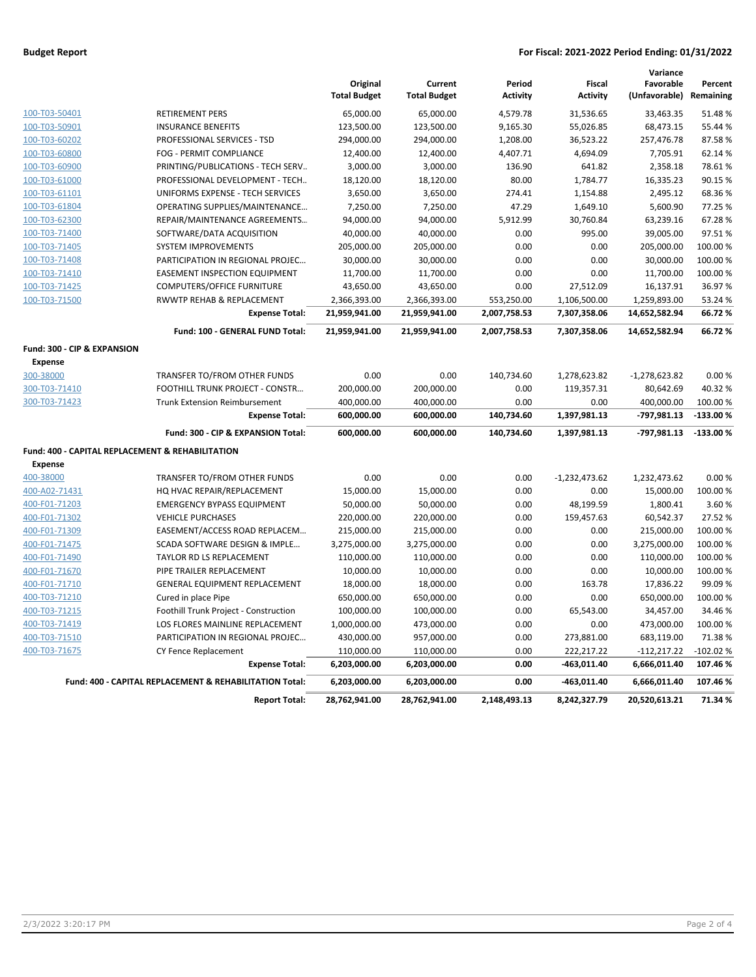### **Budget Report For Fiscal: 2021-2022 Period Ending: 01/31/2022**

|                                                  |                                                         | Original<br><b>Total Budget</b> | Current<br><b>Total Budget</b> | Period<br><b>Activity</b> | <b>Fiscal</b><br><b>Activity</b> | Variance<br>Favorable<br>(Unfavorable) Remaining | Percent    |
|--------------------------------------------------|---------------------------------------------------------|---------------------------------|--------------------------------|---------------------------|----------------------------------|--------------------------------------------------|------------|
| 100-T03-50401                                    | <b>RETIREMENT PERS</b>                                  | 65,000.00                       | 65,000.00                      | 4,579.78                  | 31,536.65                        | 33,463.35                                        | 51.48%     |
| 100-T03-50901                                    | <b>INSURANCE BENEFITS</b>                               | 123,500.00                      | 123,500.00                     | 9,165.30                  | 55,026.85                        | 68,473.15                                        | 55.44 %    |
| 100-T03-60202                                    | PROFESSIONAL SERVICES - TSD                             | 294,000.00                      | 294,000.00                     | 1,208.00                  | 36,523.22                        | 257,476.78                                       | 87.58%     |
| 100-T03-60800                                    | FOG - PERMIT COMPLIANCE                                 | 12,400.00                       | 12,400.00                      | 4,407.71                  | 4,694.09                         | 7,705.91                                         | 62.14%     |
| 100-T03-60900                                    | PRINTING/PUBLICATIONS - TECH SERV                       | 3,000.00                        | 3,000.00                       | 136.90                    | 641.82                           | 2,358.18                                         | 78.61%     |
| 100-T03-61000                                    | PROFESSIONAL DEVELOPMENT - TECH                         | 18,120.00                       | 18,120.00                      | 80.00                     | 1,784.77                         | 16,335.23                                        | 90.15 %    |
| 100-T03-61101                                    | UNIFORMS EXPENSE - TECH SERVICES                        | 3,650.00                        | 3,650.00                       | 274.41                    | 1,154.88                         | 2,495.12                                         | 68.36%     |
| 100-T03-61804                                    | OPERATING SUPPLIES/MAINTENANCE                          | 7,250.00                        | 7,250.00                       | 47.29                     | 1,649.10                         | 5,600.90                                         | 77.25 %    |
| 100-T03-62300                                    | REPAIR/MAINTENANCE AGREEMENTS                           | 94,000.00                       | 94,000.00                      | 5,912.99                  | 30,760.84                        | 63,239.16                                        | 67.28%     |
| 100-T03-71400                                    | SOFTWARE/DATA ACQUISITION                               | 40,000.00                       | 40,000.00                      | 0.00                      | 995.00                           | 39,005.00                                        | 97.51%     |
| 100-T03-71405                                    | <b>SYSTEM IMPROVEMENTS</b>                              | 205,000.00                      | 205,000.00                     | 0.00                      | 0.00                             | 205,000.00                                       | 100.00%    |
| 100-T03-71408                                    | PARTICIPATION IN REGIONAL PROJEC                        | 30,000.00                       | 30,000.00                      | 0.00                      | 0.00                             | 30,000.00                                        | 100.00%    |
| 100-T03-71410                                    | <b>EASEMENT INSPECTION EQUIPMENT</b>                    | 11,700.00                       | 11,700.00                      | 0.00                      | 0.00                             | 11,700.00                                        | 100.00 %   |
| 100-T03-71425                                    | <b>COMPUTERS/OFFICE FURNITURE</b>                       | 43,650.00                       | 43,650.00                      | 0.00                      | 27,512.09                        | 16,137.91                                        | 36.97%     |
| 100-T03-71500                                    | RWWTP REHAB & REPLACEMENT                               | 2,366,393.00                    | 2,366,393.00                   | 553,250.00                | 1,106,500.00                     | 1,259,893.00                                     | 53.24 %    |
|                                                  | <b>Expense Total:</b>                                   | 21,959,941.00                   | 21,959,941.00                  | 2,007,758.53              | 7,307,358.06                     | 14,652,582.94                                    | 66.72%     |
|                                                  | Fund: 100 - GENERAL FUND Total:                         | 21,959,941.00                   | 21,959,941.00                  | 2,007,758.53              | 7,307,358.06                     | 14,652,582.94                                    | 66.72%     |
| Fund: 300 - CIP & EXPANSION                      |                                                         |                                 |                                |                           |                                  |                                                  |            |
| <b>Expense</b>                                   |                                                         |                                 |                                |                           |                                  |                                                  |            |
| 300-38000                                        | TRANSFER TO/FROM OTHER FUNDS                            | 0.00                            | 0.00                           | 140,734.60                | 1,278,623.82                     | $-1,278,623.82$                                  | 0.00%      |
| 300-T03-71410                                    | FOOTHILL TRUNK PROJECT - CONSTR                         | 200,000.00                      | 200,000.00                     | 0.00                      | 119,357.31                       | 80,642.69                                        | 40.32%     |
| 300-T03-71423                                    | <b>Trunk Extension Reimbursement</b>                    | 400,000.00                      | 400,000.00                     | 0.00                      | 0.00                             | 400,000.00                                       | 100.00 %   |
|                                                  | <b>Expense Total:</b>                                   | 600,000.00                      | 600,000.00                     | 140,734.60                | 1,397,981.13                     | -797,981.13                                      | $-133.00%$ |
|                                                  | Fund: 300 - CIP & EXPANSION Total:                      | 600,000.00                      | 600,000.00                     | 140,734.60                | 1,397,981.13                     | $-797,981.13$                                    | $-133.00%$ |
| Fund: 400 - CAPITAL REPLACEMENT & REHABILITATION |                                                         |                                 |                                |                           |                                  |                                                  |            |
| <b>Expense</b>                                   |                                                         |                                 |                                |                           |                                  |                                                  |            |
| 400-38000                                        | TRANSFER TO/FROM OTHER FUNDS                            | 0.00                            | 0.00                           | 0.00                      | $-1,232,473.62$                  | 1,232,473.62                                     | 0.00%      |
| 400-A02-71431                                    | HQ HVAC REPAIR/REPLACEMENT                              | 15,000.00                       | 15,000.00                      | 0.00                      | 0.00                             | 15,000.00                                        | 100.00 %   |
| 400-F01-71203                                    | <b>EMERGENCY BYPASS EQUIPMENT</b>                       | 50,000.00                       | 50,000.00                      | 0.00                      | 48,199.59                        | 1,800.41                                         | 3.60%      |
| 400-F01-71302                                    | <b>VEHICLE PURCHASES</b>                                | 220,000.00                      | 220,000.00                     | 0.00                      | 159,457.63                       | 60,542.37                                        | 27.52%     |
| 400-F01-71309                                    | EASEMENT/ACCESS ROAD REPLACEM                           | 215,000.00                      | 215,000.00                     | 0.00                      | 0.00                             | 215,000.00                                       | 100.00 %   |
| 400-F01-71475                                    | SCADA SOFTWARE DESIGN & IMPLE                           | 3,275,000.00                    | 3,275,000.00                   | 0.00                      | 0.00                             | 3,275,000.00                                     | 100.00 %   |
| 400-F01-71490                                    | TAYLOR RD LS REPLACEMENT                                | 110,000.00                      | 110,000.00                     | 0.00                      | 0.00                             | 110,000.00                                       | 100.00 %   |
| 400-F01-71670                                    | PIPE TRAILER REPLACEMENT                                | 10,000.00                       | 10,000.00                      | 0.00                      | 0.00                             | 10,000.00                                        | 100.00 %   |
| 400-F01-71710                                    | <b>GENERAL EQUIPMENT REPLACEMENT</b>                    | 18,000.00                       | 18,000.00                      | 0.00                      | 163.78                           | 17,836.22                                        | 99.09%     |
| 400-T03-71210                                    | Cured in place Pipe                                     | 650,000.00                      | 650,000.00                     | 0.00                      | 0.00                             | 650,000.00                                       | 100.00%    |
| 400-T03-71215                                    | Foothill Trunk Project - Construction                   | 100,000.00                      | 100,000.00                     | 0.00                      | 65,543.00                        | 34,457.00                                        | 34.46%     |
| 400-T03-71419                                    | LOS FLORES MAINLINE REPLACEMENT                         | 1,000,000.00                    | 473,000.00                     | 0.00                      | 0.00                             | 473,000.00                                       | 100.00 %   |
| 400-T03-71510                                    | PARTICIPATION IN REGIONAL PROJEC                        | 430,000.00                      | 957,000.00                     | 0.00                      | 273,881.00                       | 683,119.00                                       | 71.38%     |
| 400-T03-71675                                    | <b>CY Fence Replacement</b>                             | 110,000.00                      | 110,000.00                     | 0.00                      | 222,217.22                       | $-112,217.22$                                    | $-102.02%$ |
|                                                  | <b>Expense Total:</b>                                   | 6,203,000.00                    | 6,203,000.00                   | 0.00                      | $-463,011.40$                    | 6,666,011.40                                     | 107.46%    |
|                                                  | Fund: 400 - CAPITAL REPLACEMENT & REHABILITATION Total: | 6,203,000.00                    | 6,203,000.00                   | 0.00                      | $-463,011.40$                    | 6,666,011.40                                     | 107.46%    |
|                                                  | <b>Report Total:</b>                                    | 28,762,941.00                   | 28,762,941.00                  | 2,148,493.13              | 8,242,327.79                     | 20,520,613.21                                    | 71.34%     |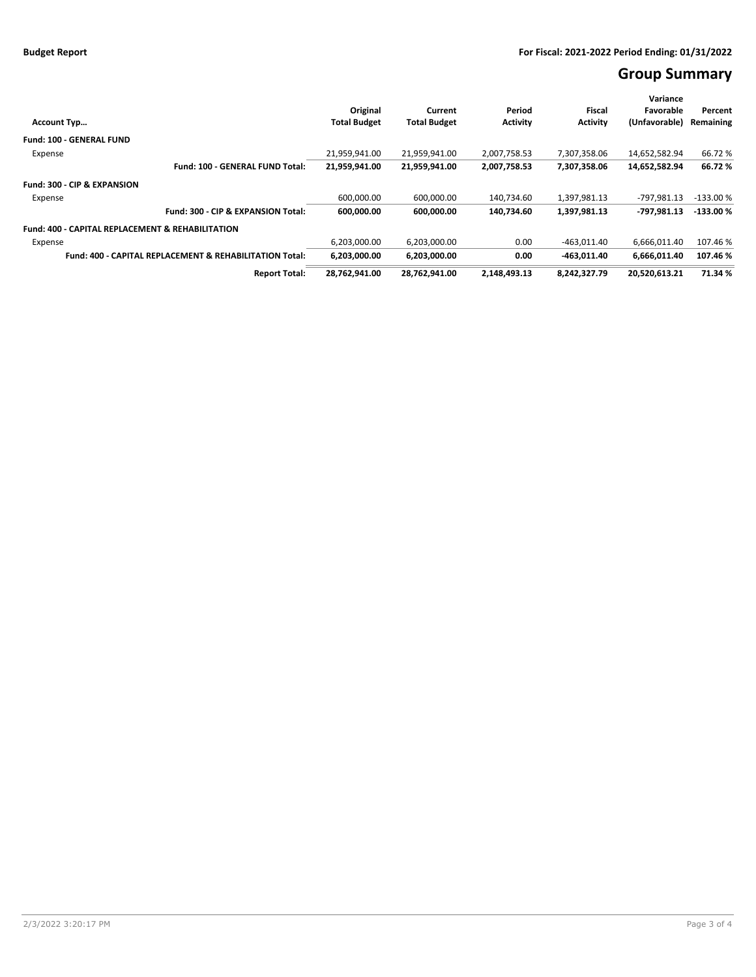# **Group Summary**

|                                                                    |                                                                                  |               |               |               | Variance      |            |
|--------------------------------------------------------------------|----------------------------------------------------------------------------------|---------------|---------------|---------------|---------------|------------|
|                                                                    | Original                                                                         | Current       | Period        | Fiscal        | Favorable     | Percent    |
| <b>Account Typ</b>                                                 | <b>Activity</b><br><b>Total Budget</b><br><b>Total Budget</b><br><b>Activity</b> |               | (Unfavorable) | Remaining     |               |            |
| <b>Fund: 100 - GENERAL FUND</b>                                    |                                                                                  |               |               |               |               |            |
| Expense                                                            | 21.959.941.00                                                                    | 21.959.941.00 | 2.007.758.53  | 7.307.358.06  | 14,652,582.94 | 66.72%     |
| Fund: 100 - GENERAL FUND Total:                                    | 21,959,941.00                                                                    | 21,959,941.00 | 2,007,758.53  | 7,307,358.06  | 14,652,582.94 | 66.72%     |
| Fund: 300 - CIP & EXPANSION                                        |                                                                                  |               |               |               |               |            |
| Expense                                                            | 600,000.00                                                                       | 600,000.00    | 140,734.60    | 1,397,981.13  | -797,981.13   | $-133.00%$ |
| Fund: 300 - CIP & EXPANSION Total:                                 | 600,000.00                                                                       | 600,000.00    | 140,734.60    | 1,397,981.13  | -797.981.13   | $-133.00%$ |
| <b>Fund: 400 - CAPITAL REPLACEMENT &amp; REHABILITATION</b>        |                                                                                  |               |               |               |               |            |
| Expense                                                            | 6,203,000.00                                                                     | 6,203,000.00  | 0.00          | $-463,011.40$ | 6,666,011.40  | 107.46%    |
| <b>Fund: 400 - CAPITAL REPLACEMENT &amp; REHABILITATION Total:</b> | 6.203.000.00                                                                     | 6,203,000.00  | 0.00          | $-463.011.40$ | 6.666.011.40  | 107.46%    |
| <b>Report Total:</b>                                               | 28,762,941.00                                                                    | 28,762,941.00 | 2,148,493.13  | 8,242,327.79  | 20,520,613.21 | 71.34 %    |
|                                                                    |                                                                                  |               |               |               |               |            |